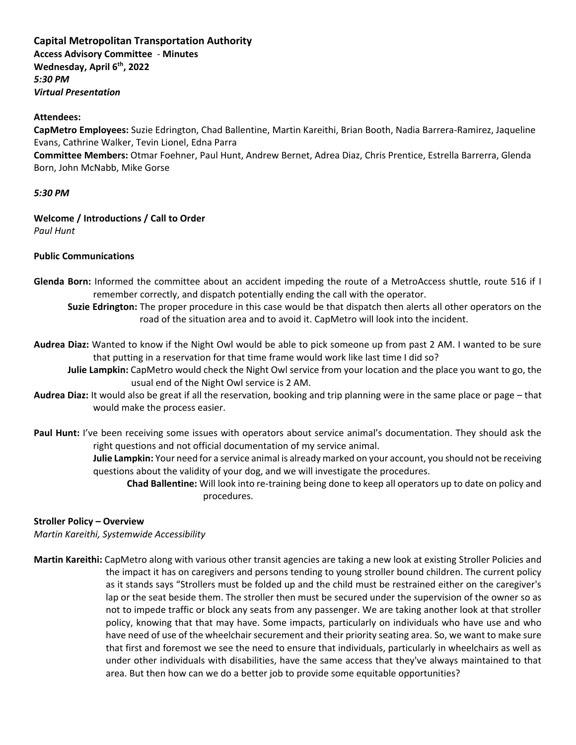# **Capital Metropolitan Transportation Authority**

**Access Advisory Committee** - **Minutes Wednesday, April 6th, 2022** *5:30 PM Virtual Presentation*

#### **Attendees:**

**CapMetro Employees:** Suzie Edrington, Chad Ballentine, Martin Kareithi, Brian Booth, Nadia Barrera-Ramirez, Jaqueline Evans, Cathrine Walker, Tevin Lionel, Edna Parra

**Committee Members:** Otmar Foehner, Paul Hunt, Andrew Bernet, Adrea Diaz, Chris Prentice, Estrella Barrerra, Glenda Born, John McNabb, Mike Gorse

#### *5:30 PM*

# **Welcome / Introductions / Call to Order**

*Paul Hunt*

## **Public Communications**

- **Glenda Born:** Informed the committee about an accident impeding the route of a MetroAccess shuttle, route 516 if I remember correctly, and dispatch potentially ending the call with the operator.
	- **Suzie Edrington:** The proper procedure in this case would be that dispatch then alerts all other operators on the road of the situation area and to avoid it. CapMetro will look into the incident.
- **Audrea Diaz:** Wanted to know if the Night Owl would be able to pick someone up from past 2 AM. I wanted to be sure that putting in a reservation for that time frame would work like last time I did so?

**Julie Lampkin:** CapMetro would check the Night Owl service from your location and the place you want to go, the usual end of the Night Owl service is 2 AM.

- **Audrea Diaz:** It would also be great if all the reservation, booking and trip planning were in the same place or page that would make the process easier.
- **Paul Hunt:** I've been receiving some issues with operators about service animal's documentation. They should ask the right questions and not official documentation of my service animal.

**Julie Lampkin:** Your need for a service animal is already marked on your account, you should not be receiving questions about the validity of your dog, and we will investigate the procedures.

**Chad Ballentine:** Will look into re-training being done to keep all operators up to date on policy and procedures.

## **Stroller Policy – Overview**

*Martin Kareithi, Systemwide Accessibility*

**Martin Kareithi:** CapMetro along with various other transit agencies are taking a new look at existing Stroller Policies and the impact it has on caregivers and persons tending to young stroller bound children. The current policy as it stands says "Strollers must be folded up and the child must be restrained either on the caregiver's lap or the seat beside them. The stroller then must be secured under the supervision of the owner so as not to impede traffic or block any seats from any passenger. We are taking another look at that stroller policy, knowing that that may have. Some impacts, particularly on individuals who have use and who have need of use of the wheelchair securement and their priority seating area. So, we want to make sure that first and foremost we see the need to ensure that individuals, particularly in wheelchairs as well as under other individuals with disabilities, have the same access that they've always maintained to that area. But then how can we do a better job to provide some equitable opportunities?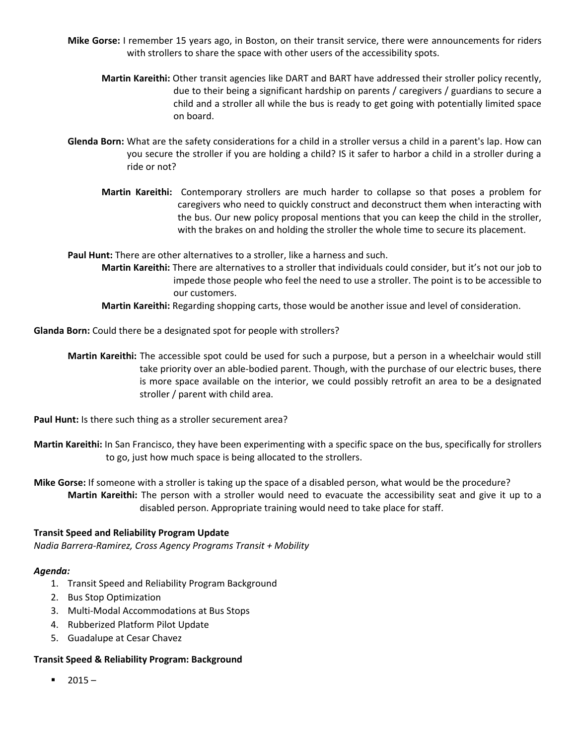- **Mike Gorse:** I remember 15 years ago, in Boston, on their transit service, there were announcements for riders with strollers to share the space with other users of the accessibility spots.
	- **Martin Kareithi:** Other transit agencies like DART and BART have addressed their stroller policy recently, due to their being a significant hardship on parents / caregivers / guardians to secure a child and a stroller all while the bus is ready to get going with potentially limited space on board.
- **Glenda Born:** What are the safety considerations for a child in a stroller versus a child in a parent's lap. How can you secure the stroller if you are holding a child? IS it safer to harbor a child in a stroller during a ride or not?
	- **Martin Kareithi:** Contemporary strollers are much harder to collapse so that poses a problem for caregivers who need to quickly construct and deconstruct them when interacting with the bus. Our new policy proposal mentions that you can keep the child in the stroller, with the brakes on and holding the stroller the whole time to secure its placement.

**Paul Hunt:** There are other alternatives to a stroller, like a harness and such.

- **Martin Kareithi:** There are alternatives to a stroller that individuals could consider, but it's not our job to impede those people who feel the need to use a stroller. The point is to be accessible to our customers.
- **Martin Kareithi:** Regarding shopping carts, those would be another issue and level of consideration.

**Glanda Born:** Could there be a designated spot for people with strollers?

**Martin Kareithi:** The accessible spot could be used for such a purpose, but a person in a wheelchair would still take priority over an able-bodied parent. Though, with the purchase of our electric buses, there is more space available on the interior, we could possibly retrofit an area to be a designated stroller / parent with child area.

**Paul Hunt:** Is there such thing as a stroller securement area?

**Martin Kareithi:** In San Francisco, they have been experimenting with a specific space on the bus, specifically for strollers to go, just how much space is being allocated to the strollers.

**Mike Gorse:** If someone with a stroller is taking up the space of a disabled person, what would be the procedure? **Martin Kareithi:** The person with a stroller would need to evacuate the accessibility seat and give it up to a disabled person. Appropriate training would need to take place for staff.

## **Transit Speed and Reliability Program Update**

*Nadia Barrera-Ramirez, Cross Agency Programs Transit + Mobility*

#### *Agenda:*

- 1. Transit Speed and Reliability Program Background
- 2. Bus Stop Optimization
- 3. Multi-Modal Accommodations at Bus Stops
- 4. Rubberized Platform Pilot Update
- 5. Guadalupe at Cesar Chavez

#### **Transit Speed & Reliability Program: Background**

 $-2015 -$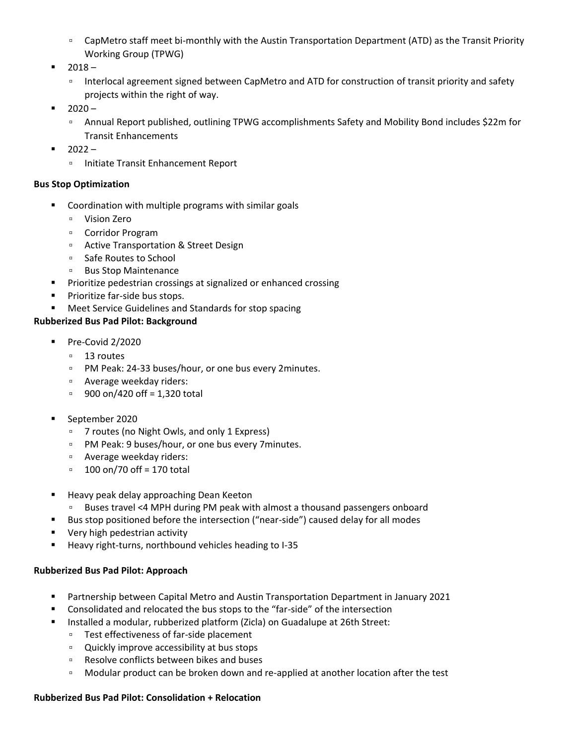- CapMetro staff meet bi-monthly with the Austin Transportation Department (ATD) as the Transit Priority Working Group (TPWG)
- $2018 -$ 
	- Interlocal agreement signed between CapMetro and ATD for construction of transit priority and safety projects within the right of way.
- $2020 -$ 
	- Annual Report published, outlining TPWG accomplishments Safety and Mobility Bond includes \$22m for Transit Enhancements
- $2022 -$ 
	- Initiate Transit Enhancement Report

# **Bus Stop Optimization**

- Coordination with multiple programs with similar goals
	- Vision Zero
	- Corridor Program
	- Active Transportation & Street Design
	- Safe Routes to School
	- Bus Stop Maintenance
- Prioritize pedestrian crossings at signalized or enhanced crossing
- Prioritize far-side bus stops.
- Meet Service Guidelines and Standards for stop spacing

# **Rubberized Bus Pad Pilot: Background**

- Pre-Covid 2/2020
	- 13 routes
	- PM Peak: 24-33 buses/hour, or one bus every 2minutes.
	- Average weekday riders:
	- □ 900 on/420 off = 1,320 total
- September 2020
	- 7 routes (no Night Owls, and only 1 Express)
	- PM Peak: 9 buses/hour, or one bus every 7minutes.
	- Average weekday riders:
	- $\degree$  100 on/70 off = 170 total
- Heavy peak delay approaching Dean Keeton
- Buses travel <4 MPH during PM peak with almost a thousand passengers onboard
- Bus stop positioned before the intersection ("near-side") caused delay for all modes
- Very high pedestrian activity
- Heavy right-turns, northbound vehicles heading to I-35

# **Rubberized Bus Pad Pilot: Approach**

- Partnership between Capital Metro and Austin Transportation Department in January 2021
- Consolidated and relocated the bus stops to the "far-side" of the intersection
- Installed a modular, rubberized platform (Zicla) on Guadalupe at 26th Street:
	- Test effectiveness of far-side placement
	- Quickly improve accessibility at bus stops
	- Resolve conflicts between bikes and buses
	- □ Modular product can be broken down and re-applied at another location after the test

# **Rubberized Bus Pad Pilot: Consolidation + Relocation**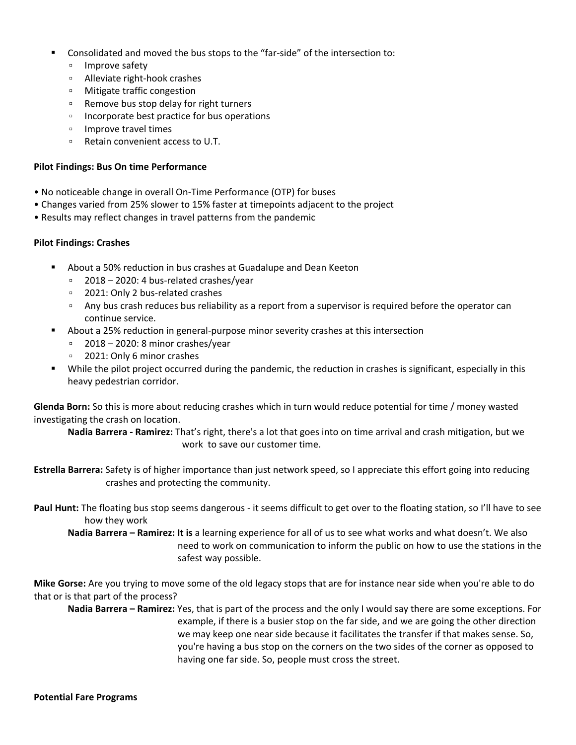- Consolidated and moved the bus stops to the "far-side" of the intersection to:
	- Improve safety
	- Alleviate right-hook crashes
	- Mitigate traffic congestion
	- Remove bus stop delay for right turners
	- Incorporate best practice for bus operations
	- Improve travel times
	- Retain convenient access to U.T.

#### **Pilot Findings: Bus On time Performance**

- No noticeable change in overall On-Time Performance (OTP) for buses
- Changes varied from 25% slower to 15% faster at timepoints adjacent to the project
- Results may reflect changes in travel patterns from the pandemic

## **Pilot Findings: Crashes**

- About a 50% reduction in bus crashes at Guadalupe and Dean Keeton
	- 2018 2020: 4 bus-related crashes/year
	- 2021: Only 2 bus-related crashes
	- Any bus crash reduces bus reliability as a report from a supervisor is required before the operator can continue service.
- About a 25% reduction in general-purpose minor severity crashes at this intersection
	- 2018 2020: 8 minor crashes/year
	- 2021: Only 6 minor crashes
- While the pilot project occurred during the pandemic, the reduction in crashes is significant, especially in this heavy pedestrian corridor.

**Glenda Born:** So this is more about reducing crashes which in turn would reduce potential for time / money wasted investigating the crash on location.

**Nadia Barrera - Ramirez:** That's right, there's a lot that goes into on time arrival and crash mitigation, but we work to save our customer time.

**Estrella Barrera:** Safety is of higher importance than just network speed, so I appreciate this effort going into reducing crashes and protecting the community.

**Paul Hunt:** The floating bus stop seems dangerous - it seems difficult to get over to the floating station, so I'll have to see how they work

**Nadia Barrera – Ramirez: It is** a learning experience for all of us to see what works and what doesn't. We also need to work on communication to inform the public on how to use the stations in the safest way possible.

**Mike Gorse:** Are you trying to move some of the old legacy stops that are for instance near side when you're able to do that or is that part of the process?

**Nadia Barrera – Ramirez:** Yes, that is part of the process and the only I would say there are some exceptions. For example, if there is a busier stop on the far side, and we are going the other direction we may keep one near side because it facilitates the transfer if that makes sense. So, you're having a bus stop on the corners on the two sides of the corner as opposed to having one far side. So, people must cross the street.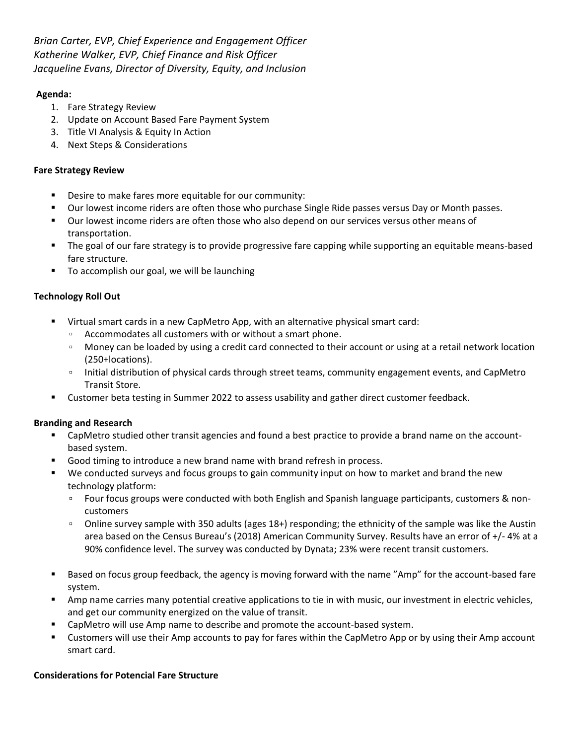*Brian Carter, EVP, Chief Experience and Engagement Officer Katherine Walker, EVP, Chief Finance and Risk Officer Jacqueline Evans, Director of Diversity, Equity, and Inclusion*

# **Agenda:**

- 1. Fare Strategy Review
- 2. Update on Account Based Fare Payment System
- 3. Title VI Analysis & Equity In Action
- 4. Next Steps & Considerations

# **Fare Strategy Review**

- Desire to make fares more equitable for our community:
- Our lowest income riders are often those who purchase Single Ride passes versus Day or Month passes.
- Our lowest income riders are often those who also depend on our services versus other means of transportation.
- The goal of our fare strategy is to provide progressive fare capping while supporting an equitable means-based fare structure.
- To accomplish our goal, we will be launching

# **Technology Roll Out**

- Virtual smart cards in a new CapMetro App, with an alternative physical smart card:
	- Accommodates all customers with or without a smart phone.
	- Money can be loaded by using a credit card connected to their account or using at a retail network location (250+locations).
	- Initial distribution of physical cards through street teams, community engagement events, and CapMetro Transit Store.
- **EXECUSTED EXECUSTER 1** Customer and the state of the test of the test of the test of the test of the customer feedback.

## **Branding and Research**

- CapMetro studied other transit agencies and found a best practice to provide a brand name on the accountbased system.
- Good timing to introduce a new brand name with brand refresh in process.
- We conducted surveys and focus groups to gain community input on how to market and brand the new technology platform:
	- Four focus groups were conducted with both English and Spanish language participants, customers & noncustomers
	- Online survey sample with 350 adults (ages 18+) responding; the ethnicity of the sample was like the Austin area based on the Census Bureau's (2018) American Community Survey. Results have an error of +/- 4% at a 90% confidence level. The survey was conducted by Dynata; 23% were recent transit customers.
- Based on focus group feedback, the agency is moving forward with the name "Amp" for the account-based fare system.
- Amp name carries many potential creative applications to tie in with music, our investment in electric vehicles, and get our community energized on the value of transit.
- CapMetro will use Amp name to describe and promote the account-based system.
- Customers will use their Amp accounts to pay for fares within the CapMetro App or by using their Amp account smart card.

## **Considerations for Potencial Fare Structure**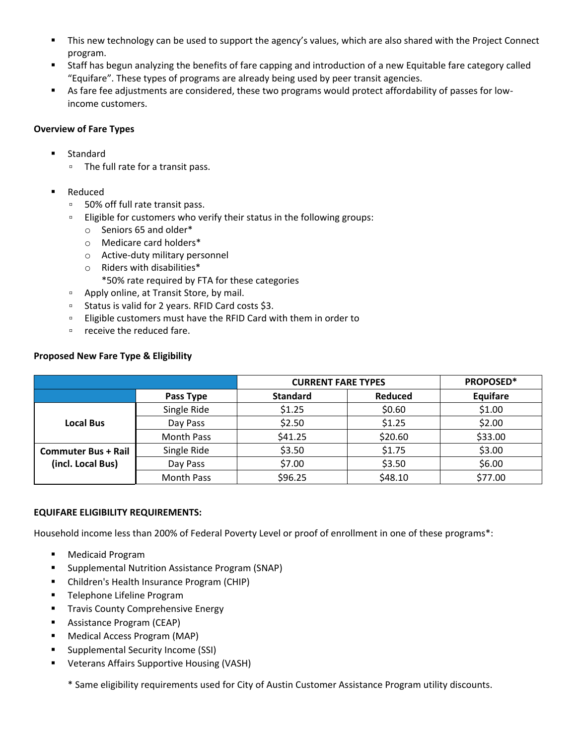- **■** This new technology can be used to support the agency's values, which are also shared with the Project Connect program.
- Staff has begun analyzing the benefits of fare capping and introduction of a new Equitable fare category called "Equifare". These types of programs are already being used by peer transit agencies.
- As fare fee adjustments are considered, these two programs would protect affordability of passes for lowincome customers.

# **Overview of Fare Types**

- Standard
	- The full rate for a transit pass.
- Reduced
	- 50% off full rate transit pass.
	- Eligible for customers who verify their status in the following groups:
		- o Seniors 65 and older\*
		- o Medicare card holders\*
		- o Active-duty military personnel
		- o Riders with disabilities\*

\*50% rate required by FTA for these categories

- Apply online, at Transit Store, by mail.
- Status is valid for 2 years. RFID Card costs \$3.
- Eligible customers must have the RFID Card with them in order to
- receive the reduced fare.

# **Proposed New Fare Type & Eligibility**

|                            |                   | <b>CURRENT FARE TYPES</b> |                | PROPOSED* |
|----------------------------|-------------------|---------------------------|----------------|-----------|
|                            | Pass Type         | <b>Standard</b>           | <b>Reduced</b> | Equifare  |
|                            | Single Ride       | \$1.25                    | \$0.60         | \$1.00    |
| <b>Local Bus</b>           | Day Pass          | \$2.50                    | \$1.25         | \$2.00    |
|                            | <b>Month Pass</b> | \$41.25                   | \$20.60        | \$33.00   |
| <b>Commuter Bus + Rail</b> | Single Ride       | \$3.50                    | \$1.75         | \$3.00    |
| (incl. Local Bus)          | Day Pass          | \$7.00                    | \$3.50         | \$6.00    |
|                            | <b>Month Pass</b> | \$96.25                   | \$48.10        | \$77.00   |

# **EQUIFARE ELIGIBILITY REQUIREMENTS:**

Household income less than 200% of Federal Poverty Level or proof of enrollment in one of these programs\*:

- Medicaid Program
- Supplemental Nutrition Assistance Program (SNAP)
- Children's Health Insurance Program (CHIP)
- **■** Telephone Lifeline Program
- **Travis County Comprehensive Energy**
- Assistance Program (CEAP)
- Medical Access Program (MAP)
- Supplemental Security Income (SSI)
- Veterans Affairs Supportive Housing (VASH)

\* Same eligibility requirements used for City of Austin Customer Assistance Program utility discounts.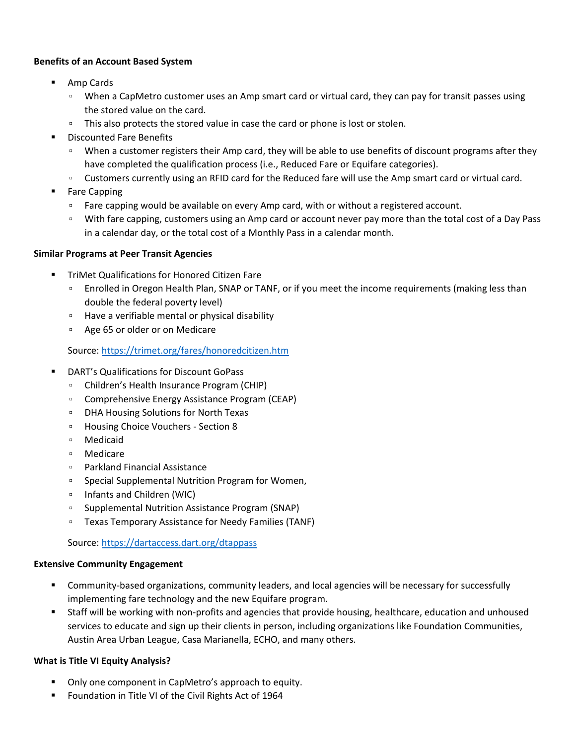# **Benefits of an Account Based System**

- Amp Cards
	- When a CapMetro customer uses an Amp smart card or virtual card, they can pay for transit passes using the stored value on the card.
	- This also protects the stored value in case the card or phone is lost or stolen.
- Discounted Fare Benefits
	- □ When a customer registers their Amp card, they will be able to use benefits of discount programs after they have completed the qualification process (i.e., Reduced Fare or Equifare categories).
	- Customers currently using an RFID card for the Reduced fare will use the Amp smart card or virtual card.
- **Fare Capping** 
	- Fare capping would be available on every Amp card, with or without a registered account.
	- With fare capping, customers using an Amp card or account never pay more than the total cost of a Day Pass in a calendar day, or the total cost of a Monthly Pass in a calendar month.

## **Similar Programs at Peer Transit Agencies**

- **TriMet Qualifications for Honored Citizen Fare** 
	- □ Enrolled in Oregon Health Plan, SNAP or TANF, or if you meet the income requirements (making less than double the federal poverty level)
	- Have a verifiable mental or physical disability
	- Age 65 or older or on Medicare

# Source:<https://trimet.org/fares/honoredcitizen.htm>

- DART's Qualifications for Discount GoPass
	- Children's Health Insurance Program (CHIP)
	- Comprehensive Energy Assistance Program (CEAP)
	- DHA Housing Solutions for North Texas
	- Housing Choice Vouchers Section 8
	- Medicaid
	- Medicare
	- Parkland Financial Assistance
	- Special Supplemental Nutrition Program for Women,
	- Infants and Children (WIC)
	- Supplemental Nutrition Assistance Program (SNAP)
	- Texas Temporary Assistance for Needy Families (TANF)

Source:<https://dartaccess.dart.org/dtappass>

## **Extensive Community Engagement**

- Community-based organizations, community leaders, and local agencies will be necessary for successfully implementing fare technology and the new Equifare program.
- Staff will be working with non-profits and agencies that provide housing, healthcare, education and unhoused services to educate and sign up their clients in person, including organizations like Foundation Communities, Austin Area Urban League, Casa Marianella, ECHO, and many others.

## **What is Title VI Equity Analysis?**

- Only one component in CapMetro's approach to equity.
- Foundation in Title VI of the Civil Rights Act of 1964